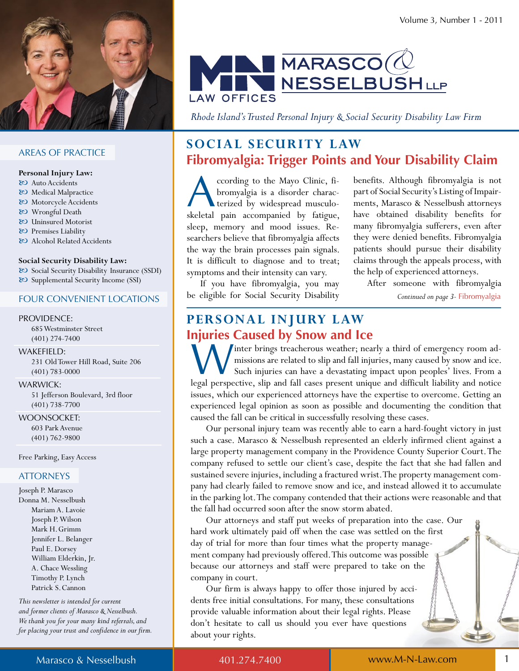

#### **AREAS OF PRACTICE**

#### Personal Injury Law:

- & Auto Accidents
- & Medical Malpractice
- & Motorcycle Accidents
- 80 Wrongful Death
- & Uninsured Motorist
- & Premises Liability
- & Alcohol Related Accidents

#### Social Security Disability Law:

& Social Security Disability Insurance (SSDI) & Supplemental Security Income (SSI)

#### **FOUR CONVENIENT LOCATIONS**

#### PROVIDENCE:

685 Westminster Street  $(401)$  274-7400

#### WAKEFIELD:

231 Old Tower Hill Road, Suite 206  $(401) 783 - 0000$ 

#### **WARWICK:**

51 Jefferson Boulevard, 3rd floor  $(401) 738 - 7700$ 

**WOONSOCKET:** 603 Park Avenue  $(401) 762 - 9800$ 

Free Parking, Easy Access

#### **ATTORNEYS**

Joseph P. Marasco Donna M. Nesselbush Mariam A. Lavoie Joseph P. Wilson Mark H. Grimm Jennifer L. Belanger Paul E. Dorsey William Elderkin, Jr. A. Chace Wessling Timothy P. Lynch Patrick S. Cannon

This newsletter is intended for current and former clients of Marasco & Nesselbush. We thank you for your many kind referrals, and for placing your trust and confidence in our firm.



Rhode Island's Trusted Personal Injury & Social Security Disability Law Firm

### **SOCIAL SECURITY LAW Fibromyalgia: Trigger Points and Your Disability Claim**

ccording to the Mayo Clinic, fibromyalgia is a disorder characterized by widespread musculoskeletal pain accompanied by fatigue, sleep, memory and mood issues. Researchers believe that fibromyalgia affects the way the brain processes pain signals. It is difficult to diagnose and to treat; symptoms and their intensity can vary.

If you have fibromyalgia, you may be eligible for Social Security Disability benefits. Although fibromyalgia is not part of Social Security's Listing of Impairments, Marasco & Nesselbush attorneys have obtained disability benefits for many fibromyalgia sufferers, even after they were denied benefits. Fibromyalgia patients should pursue their disability claims through the appeals process, with the help of experienced attorneys.

After someone with fibromyalgia

Continued on page 3- Fibromyalgia

#### PERSONAL INJURY LAW **Injuries Caused by Snow and Ice**

inter brings treacherous weather; nearly a third of emergency room admissions are related to slip and fall injuries, many caused by snow and ice. Such injuries can have a devastating impact upon peoples' lives. From a legal perspective, slip and fall cases present unique and difficult liability and notice issues, which our experienced attorneys have the expertise to overcome. Getting an experienced legal opinion as soon as possible and documenting the condition that caused the fall can be critical in successfully resolving these cases.

Our personal injury team was recently able to earn a hard-fought victory in just such a case. Marasco & Nesselbush represented an elderly infirmed client against a large property management company in the Providence County Superior Court. The company refused to settle our client's case, despite the fact that she had fallen and sustained severe injuries, including a fractured wrist. The property management company had clearly failed to remove snow and ice, and instead allowed it to accumulate in the parking lot. The company contended that their actions were reasonable and that the fall had occurred soon after the snow storm abated.

Our attorneys and staff put weeks of preparation into the case. Our hard work ultimately paid off when the case was settled on the first day of trial for more than four times what the property management company had previously offered. This outcome was possible because our attorneys and staff were prepared to take on the company in court.

Our firm is always happy to offer those injured by accidents free initial consultations. For many, these consultations provide valuable information about their legal rights. Please don't hesitate to call us should you ever have questions about your rights.

401.274.7400

**Restaurant**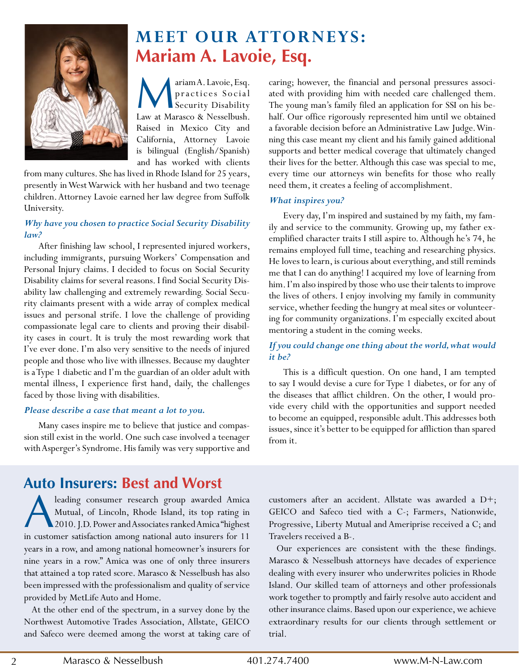

## **MEET OUR ATTORNEYS: Mariam A. Lavoie, Esq.**

M ariam A. Lavoie, Esq. practices Social Security Disability Law at Marasco & Nesselbush. Raised in Mexico City and California, Attorney Lavoie is bilingual (English/Spanish) and has worked with clients 

from many cultures. She has lived in Rhode Island for 25 years, presently in West Warwick with her husband and two teenage children. Attorney Lavoie earned her law degree from Suffolk University.

#### *Why have you chosen to practice Social Security Disability law?*

After finishing law school, I represented injured workers, including immigrants, pursuing Workers' Compensation and Personal Injury claims. I decided to focus on Social Security Disability claims for several reasons. I find Social Security Disability law challenging and extremely rewarding. Social Security claimants present with a wide array of complex medical issues and personal strife. I love the challenge of providing compassionate legal care to clients and proving their disability cases in court. It is truly the most rewarding work that I've ever done. I'm also very sensitive to the needs of injured people and those who live with illnesses. Because my daughter is a Type 1 diabetic and I'm the guardian of an older adult with mental illness, I experience first hand, daily, the challenges faced by those living with disabilities.

#### *Please describe a case that meant a lot to you.*

Many cases inspire me to believe that justice and compassion still exist in the world. One such case involved a teenager with Asperger's Syndrome. His family was very supportive and

caring; however, the financial and personal pressures associated with providing him with needed care challenged them. The young man's family filed an application for SSI on his behalf. Our office rigorously represented him until we obtained a favorable decision before an Administrative Law Judge. Winning this case meant my client and his family gained additional supports and better medical coverage that ultimately changed their lives for the better. Although this case was special to me, every time our attorneys win benefits for those who really need them, it creates a feeling of accomplishment.

#### *What inspires you?*

Every day, I'm inspired and sustained by my faith, my family and service to the community. Growing up, my father exemplified character traits I still aspire to. Although he's 74, he remains employed full time, teaching and researching physics. He loves to learn, is curious about everything, and still reminds me that I can do anything! I acquired my love of learning from him. I'm also inspired by those who use their talents to improve the lives of others. I enjoy involving my family in community service, whether feeding the hungry at meal sites or volunteering for community organizations. I'm especially excited about mentoring a student in the coming weeks.

#### *If you could change one thing about the world, what would it be?*

This is a difficult question. On one hand, I am tempted to say I would devise a cure for Type 1 diabetes, or for any of the diseases that afflict children. On the other, I would provide every child with the opportunities and support needed to become an equipped, responsible adult. This addresses both issues, since it's better to be equipped for affliction than spared from it.

**Auto Insurers: Best and Worst**<br>
Mutual, of Lincoln, Rhode Island, its top rand 2010. [.D. Power and Associates ranked Amica<sup>4</sup> leading consumer research group awarded Amica Mutual, of Lincoln, Rhode Island, its top rating in 12010. J.D. Power and Associates ranked Amica "highest" in customer satisfaction among national auto insurers for 11 years in a row, and among national homeowner's insurers for nine years in a row." Amica was one of only three insurers that attained a top rated score. Marasco & Nesselbush has also been impressed with the professionalism and quality of service provided by MetLife Auto and Home.

At the other end of the spectrum, in a survey done by the Northwest Automotive Trades Association, Allstate, GEICO and Safeco were deemed among the worst at taking care of customers after an accident. All state was awarded a  $D+$ ; GEICO and Safeco tied with a C-; Farmers, Nationwide, Progressive, Liberty Mutual and Ameriprise received a C; and Travelers received a B-.

Our experiences are consistent with the these findings. Marasco & Nesselbush attorneys have decades of experience dealing with every insurer who underwrites policies in Rhode Island. Our skilled team of attorneys and other professionals work together to promptly and fairly resolve auto accident and other insurance claims. Based upon our experience, we achieve extraordinary results for our clients through settlement or trial.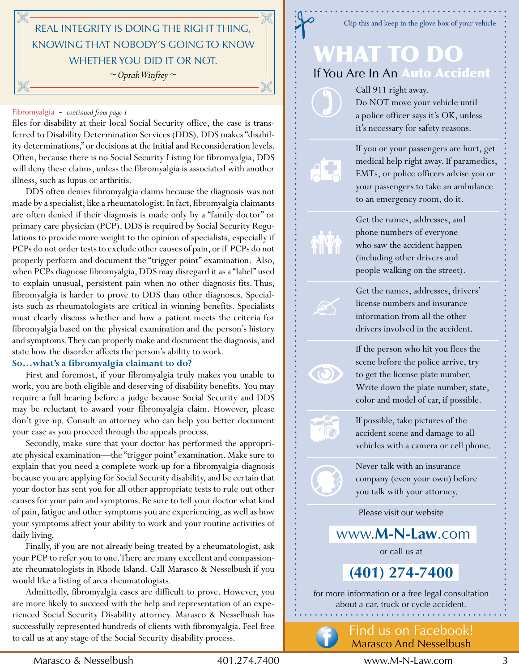Clip this and keep in the glove box of your vehicle reAl iNtegrity is doiNg the right thiNg, kNoWiNg thAt Nobody's goiNg to kNoW WHETHER YOU DID IT OR NOT. *~Oprah Winfrey ~*

#### fibromyalgia - *continued from page 1*

files for disability at their local Social Security office, the case is transferred to Disability Determination Services (DDS). DDS makes "disability determinations," or decisions at the Initial and Reconsideration levels. Often, because there is no Social Security Listing for fibromyalgia, DDS will deny these claims, unless the fibromyalgia is associated with another illness, such as lupus or arthritis.

DDS often denies fibromyalgia claims because the diagnosis was not made by a specialist, like a rheumatologist. In fact, fibromyalgia claimants are often denied if their diagnosis is made only by a "family doctor" or primary care physician (PCP). DDS is required by Social Security Regulations to provide more weight to the opinion of specialists, especially if PCPs do not order tests to exclude other causes of pain, or if PCPs do not properly perform and document the "trigger point" examination. Also, when PCPs diagnose fibromyalgia, DDS may disregard it as a "label" used to explain unusual, persistent pain when no other diagnosis fits. Thus, fibromyalgia is harder to prove to DDS than other diagnoses. Specialists such as rheumatologists are critical in winning benefits. Specialists must clearly discuss whether and how a patient meets the criteria for fibromyalgia based on the physical examination and the person's history and symptoms. They can properly make and document the diagnosis, and state how the disorder affects the person's ability to work.

#### **So…what's a fibromyalgia claimant to do?**

First and foremost, if your fibromyalgia truly makes you unable to work, you are both eligible and deserving of disability benefits. You may require a full hearing before a judge because Social Security and DDS may be reluctant to award your fibromyalgia claim. However, please don't give up. Consult an attorney who can help you better document your case as you proceed through the appeals process.

Secondly, make sure that your doctor has performed the appropriate physical examination—the "trigger point" examination. Make sure to explain that you need a complete work-up for a fibromyalgia diagnosis because you are applying for Social Security disability, and be certain that your doctor has sent you for all other appropriate tests to rule out other causes for your pain and symptoms. Be sure to tell your doctor what kind of pain, fatigue and other symptoms you are experiencing, as well as how your symptoms affect your ability to work and your routine activities of daily living.

Finally, if you are not already being treated by a rheumatologist, ask your PCP to refer you to one. There are many excellent and compassionate rheumatologists in Rhode Island. Call Marasco & Nesselbush if you would like a listing of area rheumatologists.

Admittedly, fibromyalgia cases are difficult to prove. However, you are more likely to succeed with the help and representation of an experienced Social Security Disability attorney. Marasco & Nesselbush has successfully represented hundreds of clients with fibromyalgia. Feel free to call us at any stage of the Social Security disability process.

## What to Do If You Are In An Auto Accident

Call 911 right away. Do NOT move your vehicle until a police officer says it's OK, unless it's necessary for safety reasons.



 $\mathscr{A}$ 

O

 $\bullet$  $\cdot \odot$ 

If you or your passengers are hurt, get medical help right away. If paramedics, EMTs, or police officers advise you or your passengers to take an ambulance to an emergency room, do it.

Get the names, addresses, and phone numbers of everyone who saw the accident happen (including other drivers and people walking on the street).

Get the names, addresses, drivers' license numbers and insurance information from all the other drivers involved in the accident.

If the person who hit you flees the scene before the police arrive, try to get the license plate number. Write down the plate number, state, color and model of car, if possible.

If possible, take pictures of the accident scene and damage to all vehicles with a camera or cell phone.

Never talk with an insurance company (even your own) before you talk with your attorney.

Please visit our website

www.**M-n-Law**.com

or call us at

**(401) 274-7400** 

for more information or a free legal consultation about a car, truck or cycle accident.

#### find us on facebook! Marasco And Nesselbush